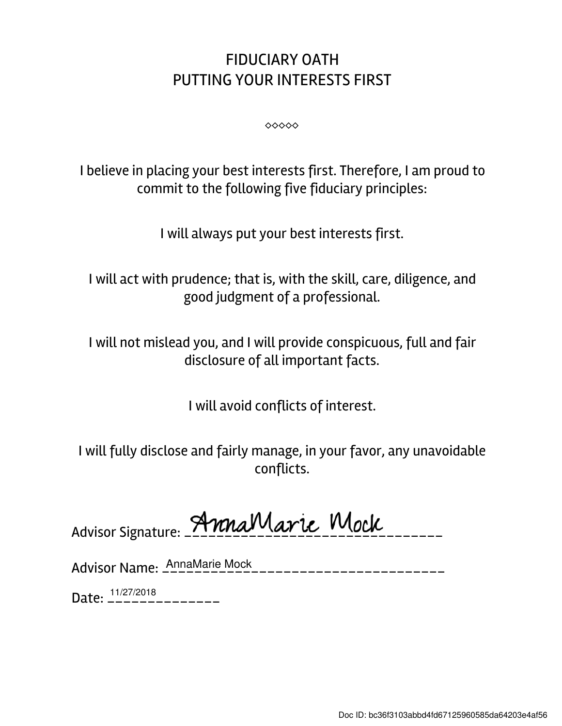## FIDUCIARY OATH PUTTING YOUR INTERESTS FIRST

⬥⬥⬥⬥⬥

I believe in placing your best interests first. Therefore, I am proud to commit to the following five fiduciary principles:

I will always put your best interests first.

I will act with prudence; that is, with the skill, care, diligence, and good judgment of a professional.

I will not mislead you, and I will provide conspicuous, full and fair disclosure of all important facts.

I will avoid conflicts of interest.

I will fully disclose and fairly manage, in your favor, any unavoidable conflicts.

Advisor Signature: AnnaMarie Mock

Advisor Name: \_\_\_\_\_\_\_\_\_\_\_\_\_\_\_\_\_\_\_\_\_\_\_\_\_\_\_\_\_\_\_\_\_\_\_ AnnaMarie Mock

Date: \_\_\_\_\_\_\_\_\_\_\_\_\_\_ 11/27/2018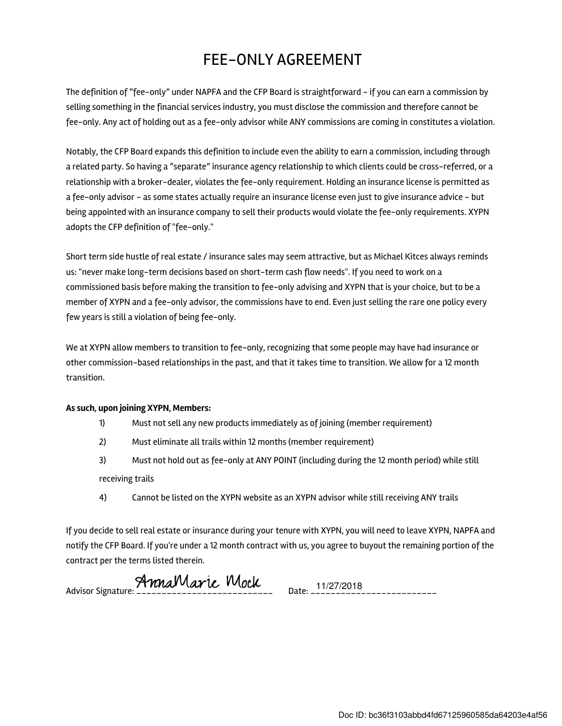## FEE-ONLY AGREEMENT

The definition of "fee-only" under NAPFA and the CFP Board is straightforward - if you can earn a commission by selling something in the financial services industry, you must disclose the commission and therefore cannot be fee-only. Any act of holding out as a fee-only advisor while ANY commissions are coming in constitutes a violation.

Notably, the CFP Board expands this definition to include even the ability to earn a commission, including through a related party. So having a "separate" insurance agency relationship to which clients could be cross-referred, or a relationship with a broker-dealer, violates the fee-only requirement. Holding an insurance license is permitted as a fee-only advisor - as some states actually require an insurance license even just to give insurance advice - but being appointed with an insurance company to sell their products would violate the fee-only requirements. XYPN adopts the CFP definition of "fee-only."

Short term side hustle of real estate / insurance sales may seem attractive, but as Michael Kitces always reminds us: "never make long-term decisions based on short-term cash flow needs". If you need to work on a commissioned basis before making the transition to fee-only advising and XYPN that is your choice, but to be a member of XYPN and a fee-only advisor, the commissions have to end. Even just selling the rare one policy every few years is still a violation of being fee-only.

We at XYPN allow members to transition to fee-only, recognizing that some people may have had insurance or other commission-based relationships in the past, and that it takes time to transition. We allow for a 12 month transition.

## As such, upon joining XYPN, Members:

- 1) Must not sell any new products immediately as of joining (member requirement)
- 2) Must eliminate all trails within 12 months (member requirement)
- 3) Must not hold out as fee-only at ANY POINT (including during the 12 month period) while still receiving trails
- 4) Cannot be listed on the XYPN website as an XYPN advisor while still receiving ANY trails

If you decide to sell real estate or insurance during your tenure with XYPN, you will need to leave XYPN, NAPFA and notify the CFP Board. If you're under a 12 month contract with us, you agree to buyout the remaining portion of the contract per the terms listed therein.

Advisor Signature: **AnnaMarie Mock** Date: 11/27/2018